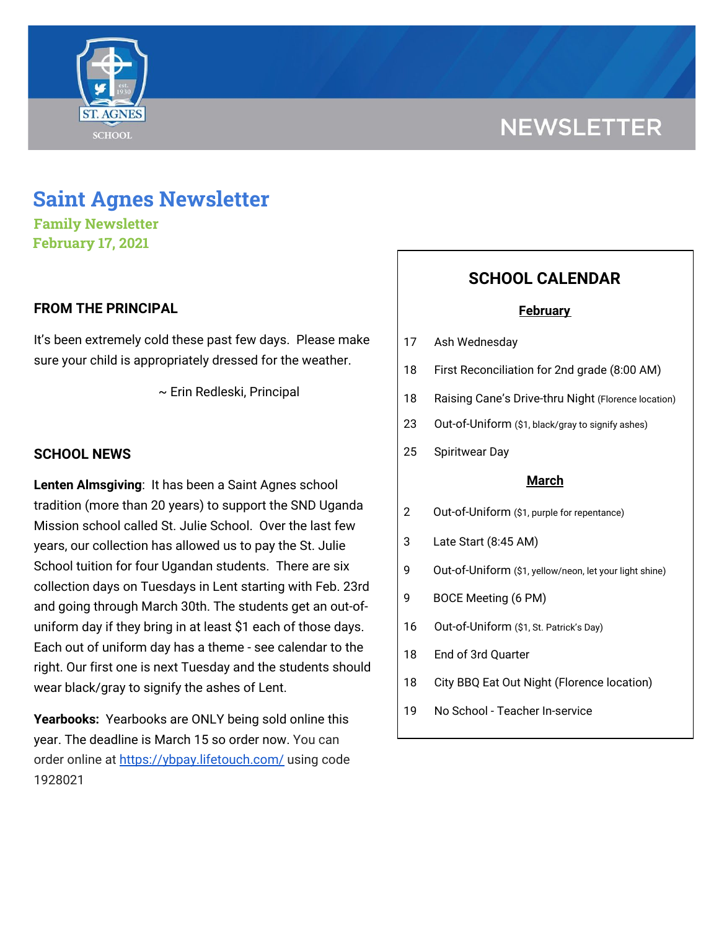

# **NEWSLETTER**

## **Saint Agnes Newsletter**

**Family Newsletter February 17, 2021**

#### **FROM THE PRINCIPAL**

It's been extremely cold these past few days. Please make sure your child is appropriately dressed for the weather.

~ Erin Redleski, Principal

#### **SCHOOL NEWS**

**Lenten Almsgiving**: It has been a Saint Agnes school tradition (more than 20 years) to support the SND Uganda Mission school called St. Julie School. Over the last few years, our collection has allowed us to pay the St. Julie School tuition for four Ugandan students. There are six collection days on Tuesdays in Lent starting with Feb. 23rd and going through March 30th. The students get an out-ofuniform day if they bring in at least \$1 each of those days. Each out of uniform day has a theme - see calendar to the right. Our first one is next Tuesday and the students should wear black/gray to signify the ashes of Lent.

**Yearbooks:** Yearbooks are ONLY being sold online this year. The deadline is March 15 so order now. You can order online at <https://ybpay.lifetouch.com/> using code 1928021

### **SCHOOL CALENDAR**

#### **February**

- 17 Ash Wednesday
- 18 First Reconciliation for 2nd grade (8:00 AM)
- 18 Raising Cane's Drive-thru Night (Florence location)
- 23 Out-of-Uniform (\$1, black/gray to signify ashes)
- 25 Spiritwear Day

#### **March**

- 2 Out-of-Uniform (\$1, purple for repentance)
- 3 Late Start (8:45 AM)
- 9 Out-of-Uniform (\$1, yellow/neon, let your light shine)
- 9 BOCE Meeting (6 PM)
- 16 Out-of-Uniform (\$1, St. Patrick's Day)
- 18 End of 3rd Quarter
- 18 City BBQ Eat Out Night (Florence location)
- 19 No School Teacher In-service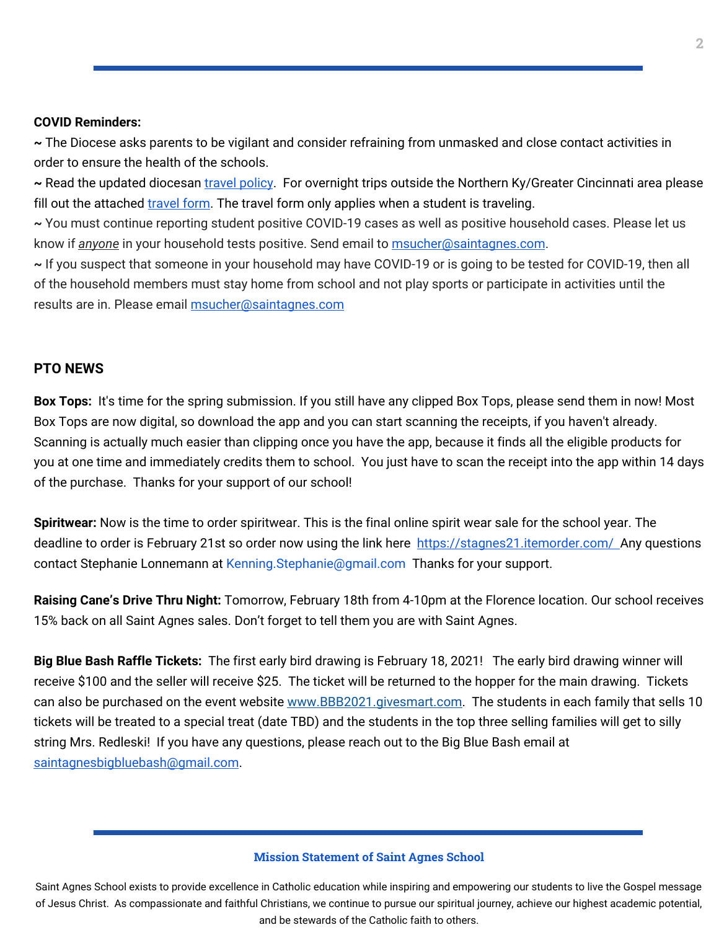#### **COVID Reminders:**

**~** The Diocese asks parents to be vigilant and consider refraining from unmasked and close contact activities in order to ensure the health of the schools.

**~** Read the updated diocesan travel [policy](https://school.saintagnes.com/wp-content/uploads/2021/02/Travel-Quarentine-Update-Feb.-2021.pdf). For overnight trips outside the Northern Ky/Greater Cincinnati area please fill out the attached [travel](https://docs.google.com/forms/d/1G4JmfFWk29Sxg_3O81r5EB0F7IYJyTofEAGJ9wd5aO4/edit?ts=5f985dbb&gxids=7628) form. The travel form only applies when a student is traveling.

**~** You must continue reporting student positive COVID-19 cases as well as positive household cases. Please let us know if *anyone* in your household tests positive. Send email to [msucher@saintagnes.com](mailto:msucher@saintagnes.com).

**~** If you suspect that someone in your household may have COVID-19 or is going to be tested for COVID-19, then all of the household members must stay home from school and not play sports or participate in activities until the results are in. Please email [msucher@saintagnes.com](mailto:msucher@saintagnes.com)

#### **PTO NEWS**

**Box Tops:** It's time for the spring submission. If you still have any clipped Box Tops, please send them in now! Most Box Tops are now digital, so download the app and you can start scanning the receipts, if you haven't already. Scanning is actually much easier than clipping once you have the app, because it finds all the eligible products for you at one time and immediately credits them to school. You just have to scan the receipt into the app within 14 days of the purchase. Thanks for your support of our school!

**Spiritwear:** Now is the time to order spiritwear. This is the final online spirit wear sale for the school year. The deadline to order is February 21st so order now using the link here <https://stagnes21.itemorder.com/> Any questions contact Stephanie Lonnemann at Kenning.Stephanie@gmail.com Thanks for your support.

**Raising Cane's Drive Thru Night:** Tomorrow, February 18th from 4-10pm at the Florence location. Our school receives 15% back on all Saint Agnes sales. Don't forget to tell them you are with Saint Agnes.

**Big Blue Bash Raffle Tickets:** The first early bird drawing is February 18, 2021! The early bird drawing winner will receive \$100 and the seller will receive \$25. The ticket will be returned to the hopper for the main drawing. Tickets can also be purchased on the event website [www.BBB2021.givesmart.com.](http://www.bbb2021.givesmart.com/) The students in each family that sells 10 tickets will be treated to a special treat (date TBD) and the students in the top three selling families will get to silly string Mrs. Redleski! If you have any questions, please reach out to the Big Blue Bash email at [saintagnesbigbluebash@gmail.com](mailto:saintagnesbigbluebash@gmail.com).

#### **Mission Statement of Saint Agnes School**

Saint Agnes School exists to provide excellence in Catholic education while inspiring and empowering our students to live the Gospel message of Jesus Christ. As compassionate and faithful Christians, we continue to pursue our spiritual journey, achieve our highest academic potential, and be stewards of the Catholic faith to others.